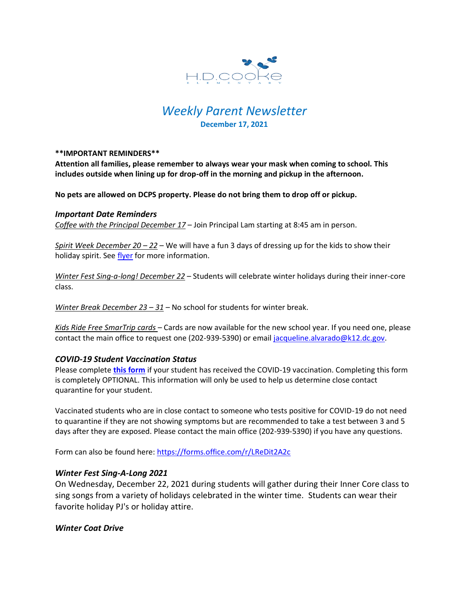

# *Weekly Parent Newsletter* **December 17, 2021**

#### **\*\*IMPORTANT REMINDERS\*\***

**Attention all families, please remember to always wear your mask when coming to school. This includes outside when lining up for drop-off in the morning and pickup in the afternoon.** 

**No pets are allowed on DCPS property. Please do not bring them to drop off or pickup.** 

#### *Important Date Reminders*

*Coffee with the Principal December 17* – Join Principal Lam starting at 8:45 am in person.

*Spirit Week December 20 – 22* – We will have a fun 3 days of dressing up for the kids to show their holiday spirit. See [flyer](https://www.hdcookeschool.org/_files/ugd/4a32f2_5dd8d5b20e6a4bb88f8861bf56c753f1.pdf) for more information.

*Winter Fest Sing-a-long! December 22* – Students will celebrate winter holidays during their inner-core class.

*Winter Break December 23 – 31* – No school for students for winter break.

*Kids Ride Free SmarTrip cards* – Cards are now available for the new school year. If you need one, please contact the main office to request one (202-939-5390) or email [jacqueline.alvarado@k12.dc.gov.](mailto:jacqueline.alvarado@k12.dc.gov)

#### *COVID-19 Student Vaccination Status*

Please complete **[this form](https://forms.office.com/r/LReDit2A2c)** if your student has received the COVID-19 vaccination. Completing this form is completely OPTIONAL. This information will only be used to help us determine close contact quarantine for your student.

Vaccinated students who are in close contact to someone who tests positive for COVID-19 do not need to quarantine if they are not showing symptoms but are recommended to take a test between 3 and 5 days after they are exposed. Please contact the main office (202-939-5390) if you have any questions.

Form can also be found here:<https://forms.office.com/r/LReDit2A2c>

#### *Winter Fest Sing-A-Long 2021*

On Wednesday, December 22, 2021 during students will gather during their Inner Core class to sing songs from a variety of holidays celebrated in the winter time. Students can wear their favorite holiday PJ's or holiday attire.

#### *Winter Coat Drive*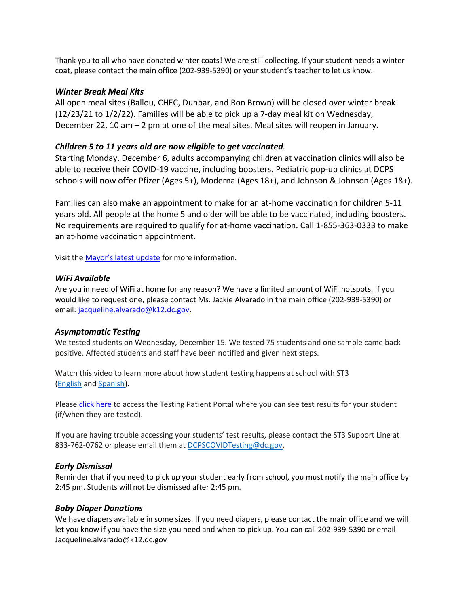Thank you to all who have donated winter coats! We are still collecting. If your student needs a winter coat, please contact the main office (202-939-5390) or your student's teacher to let us know.

## *Winter Break Meal Kits*

All open meal sites (Ballou, CHEC, Dunbar, and Ron Brown) will be closed over winter break (12/23/21 to 1/2/22). Families will be able to pick up a 7-day meal kit on Wednesday, December 22, 10 am – 2 pm at one of the meal sites. Meal sites will reopen in January.

# *Children 5 to 11 years old are now eligible to get vaccinated.*

Starting Monday, December 6, adults accompanying children at vaccination clinics will also be able to receive their COVID-19 vaccine, including boosters. Pediatric pop-up clinics at DCPS schools will now offer Pfizer (Ages 5+), Moderna (Ages 18+), and Johnson & Johnson (Ages 18+).

Families can also make an appointment to make for an at-home vaccination for children 5-11 years old. All people at the home 5 and older will be able to be vaccinated, including boosters. No requirements are required to qualify for at-home vaccination. Call 1-855-363-0333 to make an at-home vaccination appointment.

Visit the [Mayor's latest update](https://mayor.dc.gov/sites/default/files/dc/sites/coronavirus/page_content/attachments/Situational-Update-Presentation_12-02-21.pdf) for more information.

# *WiFi Available*

Are you in need of WiFi at home for any reason? We have a limited amount of WiFi hotspots. If you would like to request one, please contact Ms. Jackie Alvarado in the main office (202-939-5390) or email: [jacqueline.alvarado@k12.dc.gov.](mailto:jacqueline.alvarado@k12.dc.gov)

# *Asymptomatic Testing*

We tested students on Wednesday, December 15. We tested 75 students and one sample came back positive. Affected students and staff have been notified and given next steps.

Watch this video to learn more about how student testing happens at school with ST3 [\(English](https://urldefense.proofpoint.com/v2/url?u=https-3A__rise.articulate.com_share_-2Dq6MdIeo2V42boWuOGTu8i4-2DcT9E-5Fpjy-23_lessons_QicMYr-5FNcrCg54C5EtRyuC-2DwHJjQQVR2&d=DwMFAg&c=euGZstcaTDllvimEN8b7jXrwqOf-v5A_CdpgnVfiiMM&r=r7MsakikdNxOh-N_Ssj9mdJUMRjWvhYw18Eqx42UE40&m=-vbhK74dxdF3UGFM3KXX_Mk-PGWZWrPZHiFLh_rcYM0&s=470EC6i3UbApDRfaxDIuMzBPFqhzK2pNSc-krTjYzOw&e=) and [Spanish\)](https://urldefense.proofpoint.com/v2/url?u=https-3A__youtu.be_PRaXjkFlGGQ&d=DwMFAg&c=euGZstcaTDllvimEN8b7jXrwqOf-v5A_CdpgnVfiiMM&r=r7MsakikdNxOh-N_Ssj9mdJUMRjWvhYw18Eqx42UE40&m=-vbhK74dxdF3UGFM3KXX_Mk-PGWZWrPZHiFLh_rcYM0&s=yCXksETv2O2ZulcBl9cazNcOvmB9Inp-drZAlbuFkaw&e=).

Please click [here](https://shieldt3k12portal.pointnclick.com/login_login.aspx) to access the Testing Patient Portal where you can see test results for your student (if/when they are tested).

If you are having trouble accessing your students' test results, please contact the ST3 Support Line at 833-762-0762 or please email them at [DCPSCOVIDTesting@dc.gov.](mailto:DCPSCOVIDTesting@dc.gov)

# *Early Dismissal*

Reminder that if you need to pick up your student early from school, you must notify the main office by 2:45 pm. Students will not be dismissed after 2:45 pm.

# *Baby Diaper Donations*

We have diapers available in some sizes. If you need diapers, please contact the main office and we will let you know if you have the size you need and when to pick up. You can call 202-939-5390 or email Jacqueline.alvarado@k12.dc.gov